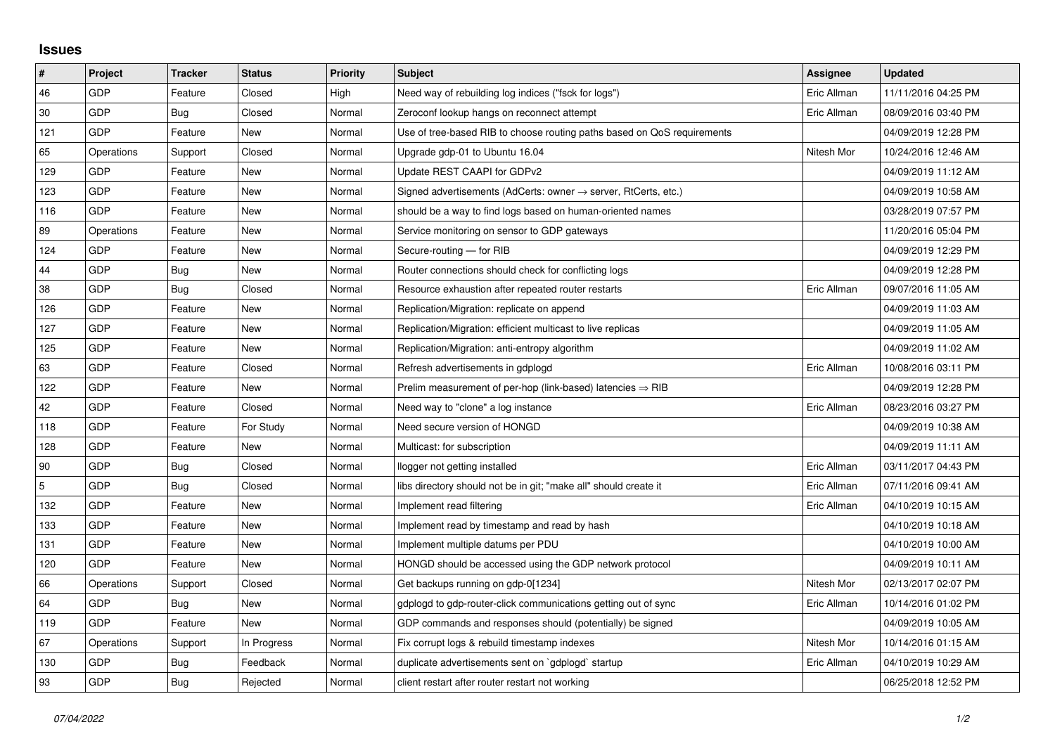## **Issues**

| $\vert$ #      | Project    | <b>Tracker</b> | <b>Status</b> | <b>Priority</b> | <b>Subject</b>                                                             | <b>Assignee</b> | <b>Updated</b>      |
|----------------|------------|----------------|---------------|-----------------|----------------------------------------------------------------------------|-----------------|---------------------|
| 46             | GDP        | Feature        | Closed        | High            | Need way of rebuilding log indices ("fsck for logs")                       | Eric Allman     | 11/11/2016 04:25 PM |
| 30             | GDP        | Bug            | Closed        | Normal          | Zeroconf lookup hangs on reconnect attempt                                 | Eric Allman     | 08/09/2016 03:40 PM |
| 121            | GDP        | Feature        | New           | Normal          | Use of tree-based RIB to choose routing paths based on QoS requirements    |                 | 04/09/2019 12:28 PM |
| 65             | Operations | Support        | Closed        | Normal          | Upgrade gdp-01 to Ubuntu 16.04                                             | Nitesh Mor      | 10/24/2016 12:46 AM |
| 129            | GDP        | Feature        | New           | Normal          | Update REST CAAPI for GDPv2                                                |                 | 04/09/2019 11:12 AM |
| 123            | GDP        | Feature        | New           | Normal          | Signed advertisements (AdCerts: owner $\rightarrow$ server, RtCerts, etc.) |                 | 04/09/2019 10:58 AM |
| 116            | GDP        | Feature        | <b>New</b>    | Normal          | should be a way to find logs based on human-oriented names                 |                 | 03/28/2019 07:57 PM |
| 89             | Operations | Feature        | New           | Normal          | Service monitoring on sensor to GDP gateways                               |                 | 11/20/2016 05:04 PM |
| 124            | GDP        | Feature        | New           | Normal          | Secure-routing - for RIB                                                   |                 | 04/09/2019 12:29 PM |
| 44             | GDP        | Bug            | <b>New</b>    | Normal          | Router connections should check for conflicting logs                       |                 | 04/09/2019 12:28 PM |
| 38             | GDP        | Bug            | Closed        | Normal          | Resource exhaustion after repeated router restarts                         | Eric Allman     | 09/07/2016 11:05 AM |
| 126            | GDP        | Feature        | New           | Normal          | Replication/Migration: replicate on append                                 |                 | 04/09/2019 11:03 AM |
| 127            | GDP        | Feature        | New           | Normal          | Replication/Migration: efficient multicast to live replicas                |                 | 04/09/2019 11:05 AM |
| 125            | GDP        | Feature        | New           | Normal          | Replication/Migration: anti-entropy algorithm                              |                 | 04/09/2019 11:02 AM |
| 63             | GDP        | Feature        | Closed        | Normal          | Refresh advertisements in gdplogd                                          | Eric Allman     | 10/08/2016 03:11 PM |
| 122            | GDP        | Feature        | <b>New</b>    | Normal          | Prelim measurement of per-hop (link-based) latencies $\Rightarrow$ RIB     |                 | 04/09/2019 12:28 PM |
| 42             | GDP        | Feature        | Closed        | Normal          | Need way to "clone" a log instance                                         | Eric Allman     | 08/23/2016 03:27 PM |
| 118            | GDP        | Feature        | For Study     | Normal          | Need secure version of HONGD                                               |                 | 04/09/2019 10:38 AM |
| 128            | GDP        | Feature        | New           | Normal          | Multicast: for subscription                                                |                 | 04/09/2019 11:11 AM |
| 90             | GDP        | Bug            | Closed        | Normal          | llogger not getting installed                                              | Eric Allman     | 03/11/2017 04:43 PM |
| $\overline{5}$ | GDP        | Bug            | Closed        | Normal          | libs directory should not be in git; "make all" should create it           | Eric Allman     | 07/11/2016 09:41 AM |
| 132            | GDP        | Feature        | New           | Normal          | Implement read filtering                                                   | Eric Allman     | 04/10/2019 10:15 AM |
| 133            | GDP        | Feature        | New           | Normal          | Implement read by timestamp and read by hash                               |                 | 04/10/2019 10:18 AM |
| 131            | GDP        | Feature        | New           | Normal          | Implement multiple datums per PDU                                          |                 | 04/10/2019 10:00 AM |
| 120            | GDP        | Feature        | <b>New</b>    | Normal          | HONGD should be accessed using the GDP network protocol                    |                 | 04/09/2019 10:11 AM |
| 66             | Operations | Support        | Closed        | Normal          | Get backups running on gdp-0[1234]                                         | Nitesh Mor      | 02/13/2017 02:07 PM |
| 64             | GDP        | Bug            | New           | Normal          | gdplogd to gdp-router-click communications getting out of sync             | Eric Allman     | 10/14/2016 01:02 PM |
| 119            | GDP        | Feature        | <b>New</b>    | Normal          | GDP commands and responses should (potentially) be signed                  |                 | 04/09/2019 10:05 AM |
| 67             | Operations | Support        | In Progress   | Normal          | Fix corrupt logs & rebuild timestamp indexes                               | Nitesh Mor      | 10/14/2016 01:15 AM |
| 130            | GDP        | Bug            | Feedback      | Normal          | duplicate advertisements sent on `gdplogd` startup                         | Eric Allman     | 04/10/2019 10:29 AM |
| 93             | GDP        | Bug            | Rejected      | Normal          | client restart after router restart not working                            |                 | 06/25/2018 12:52 PM |